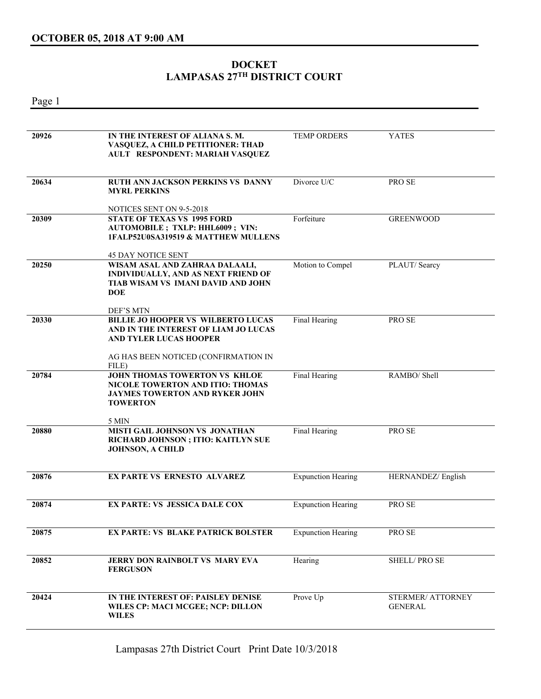## **DOCKET LAMPASAS 27TH DISTRICT COURT**

Page 1

| 20926 | IN THE INTEREST OF ALIANA S.M.<br>VASQUEZ, A CHILD PETITIONER: THAD<br>AULT RESPONDENT: MARIAH VASQUEZ                                                     | <b>TEMP ORDERS</b>        | <b>YATES</b>                        |
|-------|------------------------------------------------------------------------------------------------------------------------------------------------------------|---------------------------|-------------------------------------|
| 20634 | RUTH ANN JACKSON PERKINS VS DANNY<br><b>MYRL PERKINS</b>                                                                                                   | Divorce U/C               | PRO SE                              |
|       | NOTICES SENT ON 9-5-2018                                                                                                                                   |                           |                                     |
| 20309 | <b>STATE OF TEXAS VS 1995 FORD</b><br><b>AUTOMOBILE; TXLP: HHL6009; VIN:</b><br>1FALP52U0SA319519 & MATTHEW MULLENS                                        | Forfeiture                | <b>GREENWOOD</b>                    |
|       | <b>45 DAY NOTICE SENT</b>                                                                                                                                  |                           |                                     |
| 20250 | WISAM ASAL AND ZAHRAA DALAALI,<br>INDIVIDUALLY, AND AS NEXT FRIEND OF<br>TIAB WISAM VS IMANI DAVID AND JOHN<br><b>DOE</b>                                  | Motion to Compel          | PLAUT/Searcy                        |
|       | DEF'S MTN                                                                                                                                                  |                           |                                     |
| 20330 | <b>BILLIE JO HOOPER VS WILBERTO LUCAS</b><br>AND IN THE INTEREST OF LIAM JO LUCAS<br><b>AND TYLER LUCAS HOOPER</b><br>AG HAS BEEN NOTICED (CONFIRMATION IN | Final Hearing             | PRO SE                              |
|       | FILE)                                                                                                                                                      |                           |                                     |
| 20784 | <b>JOHN THOMAS TOWERTON VS KHLOE</b><br><b>NICOLE TOWERTON AND ITIO: THOMAS</b><br><b>JAYMES TOWERTON AND RYKER JOHN</b><br><b>TOWERTON</b>                | Final Hearing             | RAMBO/ Shell                        |
|       | 5 MIN                                                                                                                                                      |                           |                                     |
| 20880 | MISTI GAIL JOHNSON VS JONATHAN<br>RICHARD JOHNSON ; ITIO: KAITLYN SUE<br><b>JOHNSON, A CHILD</b>                                                           | Final Hearing             | PRO SE                              |
| 20876 | <b>EX PARTE VS ERNESTO ALVAREZ</b>                                                                                                                         | <b>Expunction Hearing</b> | HERNANDEZ/ English                  |
| 20874 | <b>EX PARTE: VS JESSICA DALE COX</b>                                                                                                                       | <b>Expunction Hearing</b> | PRO SE                              |
| 20875 | <b>EX PARTE: VS BLAKE PATRICK BOLSTER</b>                                                                                                                  | <b>Expunction Hearing</b> | PRO SE                              |
| 20852 | JERRY DON RAINBOLT VS MARY EVA<br><b>FERGUSON</b>                                                                                                          | Hearing                   | <b>SHELL/PROSE</b>                  |
| 20424 | IN THE INTEREST OF: PAISLEY DENISE<br>WILES CP: MACI MCGEE; NCP: DILLON<br><b>WILES</b>                                                                    | Prove Up                  | STERMER/ ATTORNEY<br><b>GENERAL</b> |